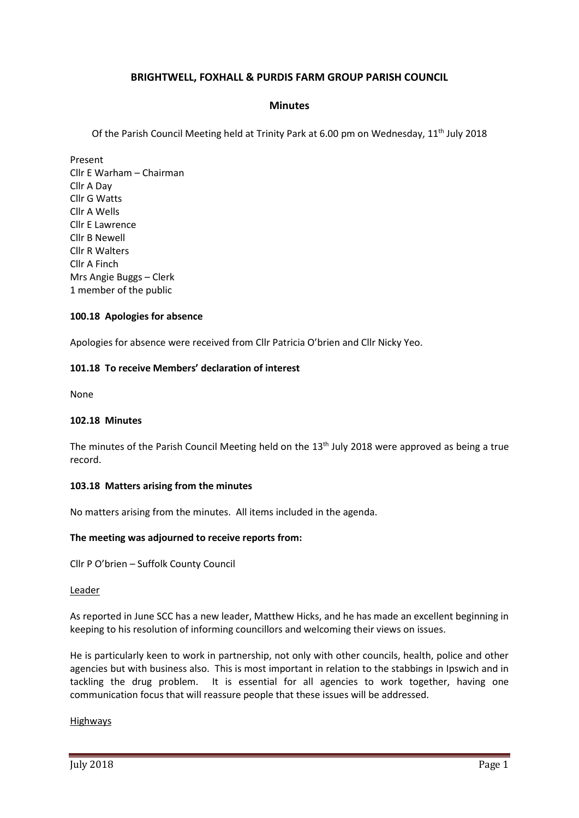# **BRIGHTWELL, FOXHALL & PURDIS FARM GROUP PARISH COUNCIL**

## **Minutes**

Of the Parish Council Meeting held at Trinity Park at 6.00 pm on Wednesday, 11<sup>th</sup> July 2018

Present Cllr E Warham – Chairman Cllr A Day Cllr G Watts Cllr A Wells Cllr E Lawrence Cllr B Newell Cllr R Walters Cllr A Finch Mrs Angie Buggs – Clerk 1 member of the public

### **100.18 Apologies for absence**

Apologies for absence were received from Cllr Patricia O'brien and Cllr Nicky Yeo.

### **101.18 To receive Members' declaration of interest**

None

### **102.18 Minutes**

The minutes of the Parish Council Meeting held on the 13<sup>th</sup> July 2018 were approved as being a true record.

### **103.18 Matters arising from the minutes**

No matters arising from the minutes. All items included in the agenda.

### **The meeting was adjourned to receive reports from:**

Cllr P O'brien – Suffolk County Council

#### Leader

As reported in June SCC has a new leader, Matthew Hicks, and he has made an excellent beginning in keeping to his resolution of informing councillors and welcoming their views on issues.

He is particularly keen to work in partnership, not only with other councils, health, police and other agencies but with business also. This is most important in relation to the stabbings in Ipswich and in tackling the drug problem. It is essential for all agencies to work together, having one communication focus that will reassure people that these issues will be addressed.

### Highways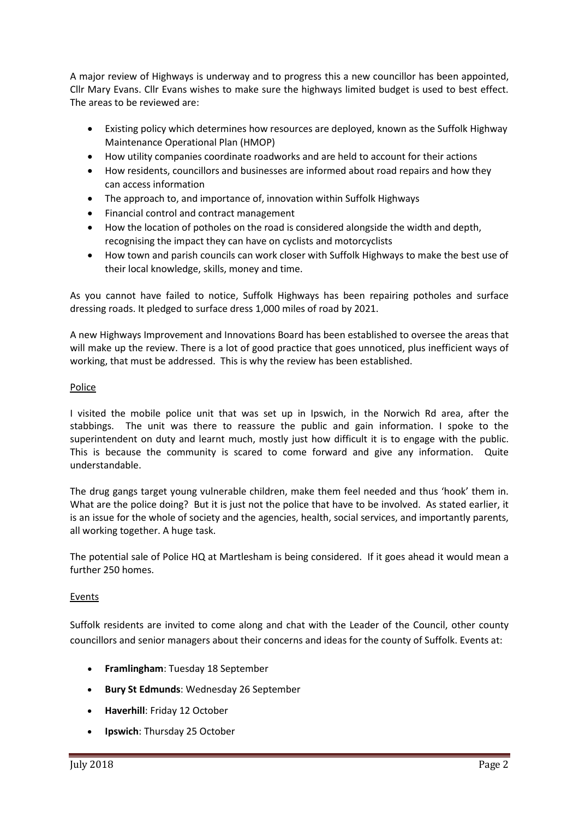A major review of Highways is underway and to progress this a new councillor has been appointed, Cllr Mary Evans. Cllr Evans wishes to make sure the highways limited budget is used to best effect. The areas to be reviewed are:

- Existing policy which determines how resources are deployed, known as the Suffolk Highway Maintenance Operational Plan (HMOP)
- How utility companies coordinate roadworks and are held to account for their actions
- How residents, councillors and businesses are informed about road repairs and how they can access information
- The approach to, and importance of, innovation within Suffolk Highways
- Financial control and contract management
- How the location of potholes on the road is considered alongside the width and depth, recognising the impact they can have on cyclists and motorcyclists
- How town and parish councils can work closer with Suffolk Highways to make the best use of their local knowledge, skills, money and time.

As you cannot have failed to notice, Suffolk Highways has been repairing potholes and surface dressing roads. It pledged to surface dress 1,000 miles of road by 2021.

A new Highways Improvement and Innovations Board has been established to oversee the areas that will make up the review. There is a lot of good practice that goes unnoticed, plus inefficient ways of working, that must be addressed. This is why the review has been established.

## Police

I visited the mobile police unit that was set up in Ipswich, in the Norwich Rd area, after the stabbings. The unit was there to reassure the public and gain information. I spoke to the superintendent on duty and learnt much, mostly just how difficult it is to engage with the public. This is because the community is scared to come forward and give any information. Quite understandable.

The drug gangs target young vulnerable children, make them feel needed and thus 'hook' them in. What are the police doing? But it is just not the police that have to be involved. As stated earlier, it is an issue for the whole of society and the agencies, health, social services, and importantly parents, all working together. A huge task.

The potential sale of Police HQ at Martlesham is being considered. If it goes ahead it would mean a further 250 homes.

## Events

Suffolk residents are invited to come along and chat with the Leader of the Council, other county councillors and senior managers about their concerns and ideas for the county of Suffolk. Events at:

- **Framlingham**: Tuesday 18 September
- **Bury St Edmunds**: Wednesday 26 September
- **Haverhill**: Friday 12 October
- **Ipswich**: Thursday 25 October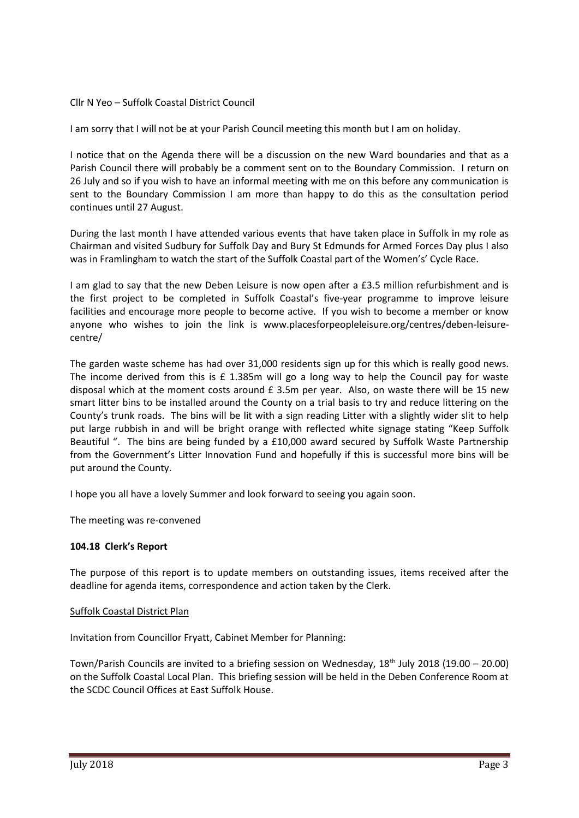## Cllr N Yeo – Suffolk Coastal District Council

I am sorry that I will not be at your Parish Council meeting this month but I am on holiday.

I notice that on the Agenda there will be a discussion on the new Ward boundaries and that as a Parish Council there will probably be a comment sent on to the Boundary Commission. I return on 26 July and so if you wish to have an informal meeting with me on this before any communication is sent to the Boundary Commission I am more than happy to do this as the consultation period continues until 27 August.

During the last month I have attended various events that have taken place in Suffolk in my role as Chairman and visited Sudbury for Suffolk Day and Bury St Edmunds for Armed Forces Day plus I also was in Framlingham to watch the start of the Suffolk Coastal part of the Women's' Cycle Race.

I am glad to say that the new Deben Leisure is now open after a £3.5 million refurbishment and is the first project to be completed in Suffolk Coastal's five-year programme to improve leisure facilities and encourage more people to become active. If you wish to become a member or know anyone who wishes to join the link is [www.placesforpeopleleisure.org/centres/deben-leisure](http://www.placesforpeopleleisure.org/centres/deben-leisure-centre/)[centre/](http://www.placesforpeopleleisure.org/centres/deben-leisure-centre/)

The garden waste scheme has had over 31,000 residents sign up for this which is really good news. The income derived from this is £ 1.385m will go a long way to help the Council pay for waste disposal which at the moment costs around £ 3.5m per year. Also, on waste there will be 15 new smart litter bins to be installed around the County on a trial basis to try and reduce littering on the County's trunk roads. The bins will be lit with a sign reading Litter with a slightly wider slit to help put large rubbish in and will be bright orange with reflected white signage stating "Keep Suffolk Beautiful ". The bins are being funded by a £10,000 award secured by Suffolk Waste Partnership from the Government's Litter Innovation Fund and hopefully if this is successful more bins will be put around the County.

I hope you all have a lovely Summer and look forward to seeing you again soon.

The meeting was re-convened

### **104.18 Clerk's Report**

The purpose of this report is to update members on outstanding issues, items received after the deadline for agenda items, correspondence and action taken by the Clerk.

### Suffolk Coastal District Plan

Invitation from Councillor Fryatt, Cabinet Member for Planning:

Town/Parish Councils are invited to a briefing session on Wednesday, 18<sup>th</sup> July 2018 (19.00 – 20.00) on the Suffolk Coastal Local Plan. This briefing session will be held in the Deben Conference Room at the SCDC Council Offices at East Suffolk House.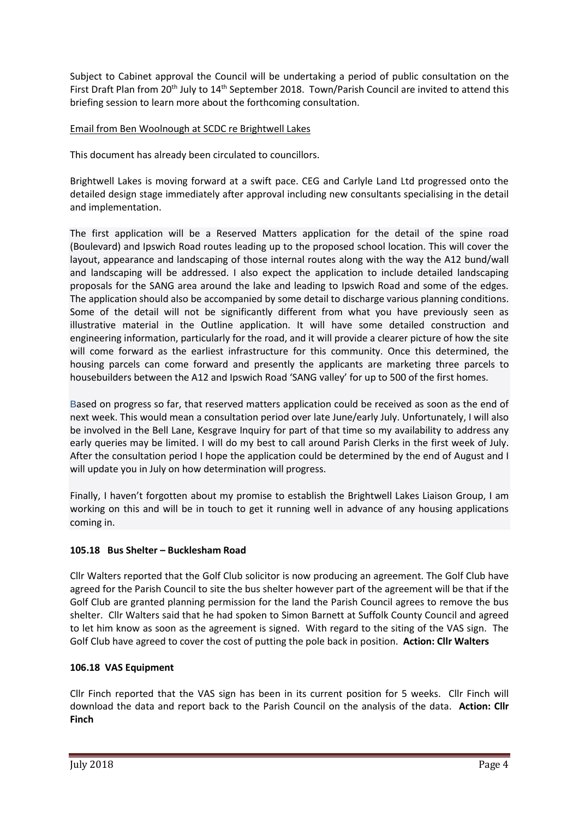Subject to Cabinet approval the Council will be undertaking a period of public consultation on the First Draft Plan from 20<sup>th</sup> July to 14<sup>th</sup> September 2018. Town/Parish Council are invited to attend this briefing session to learn more about the forthcoming consultation.

# Email from Ben Woolnough at SCDC re Brightwell Lakes

This document has already been circulated to councillors.

Brightwell Lakes is moving forward at a swift pace. CEG and Carlyle Land Ltd progressed onto the detailed design stage immediately after approval including new consultants specialising in the detail and implementation.

The first application will be a Reserved Matters application for the detail of the spine road (Boulevard) and Ipswich Road routes leading up to the proposed school location. This will cover the layout, appearance and landscaping of those internal routes along with the way the A12 bund/wall and landscaping will be addressed. I also expect the application to include detailed landscaping proposals for the SANG area around the lake and leading to Ipswich Road and some of the edges. The application should also be accompanied by some detail to discharge various planning conditions. Some of the detail will not be significantly different from what you have previously seen as illustrative material in the Outline application. It will have some detailed construction and engineering information, particularly for the road, and it will provide a clearer picture of how the site will come forward as the earliest infrastructure for this community. Once this determined, the housing parcels can come forward and presently the applicants are marketing three parcels to housebuilders between the A12 and Ipswich Road 'SANG valley' for up to 500 of the first homes.

Based on progress so far, that reserved matters application could be received as soon as the end of next week. This would mean a consultation period over late June/early July. Unfortunately, I will also be involved in the Bell Lane, Kesgrave Inquiry for part of that time so my availability to address any early queries may be limited. I will do my best to call around Parish Clerks in the first week of July. After the consultation period I hope the application could be determined by the end of August and I will update you in July on how determination will progress.

Finally, I haven't forgotten about my promise to establish the Brightwell Lakes Liaison Group, I am working on this and will be in touch to get it running well in advance of any housing applications coming in.

## **105.18 Bus Shelter – Bucklesham Road**

Cllr Walters reported that the Golf Club solicitor is now producing an agreement. The Golf Club have agreed for the Parish Council to site the bus shelter however part of the agreement will be that if the Golf Club are granted planning permission for the land the Parish Council agrees to remove the bus shelter. Cllr Walters said that he had spoken to Simon Barnett at Suffolk County Council and agreed to let him know as soon as the agreement is signed. With regard to the siting of the VAS sign. The Golf Club have agreed to cover the cost of putting the pole back in position. **Action: Cllr Walters**

## **106.18 VAS Equipment**

Cllr Finch reported that the VAS sign has been in its current position for 5 weeks. Cllr Finch will download the data and report back to the Parish Council on the analysis of the data. **Action: Cllr Finch**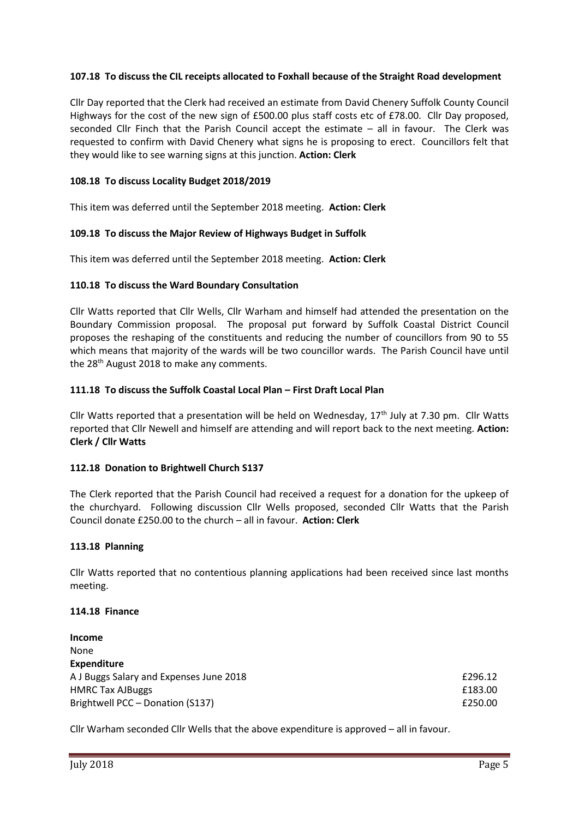## **107.18 To discuss the CIL receipts allocated to Foxhall because of the Straight Road development**

Cllr Day reported that the Clerk had received an estimate from David Chenery Suffolk County Council Highways for the cost of the new sign of £500.00 plus staff costs etc of £78.00. Cllr Day proposed, seconded Cllr Finch that the Parish Council accept the estimate – all in favour. The Clerk was requested to confirm with David Chenery what signs he is proposing to erect. Councillors felt that they would like to see warning signs at this junction. **Action: Clerk**

## **108.18 To discuss Locality Budget 2018/2019**

This item was deferred until the September 2018 meeting. **Action: Clerk**

### **109.18 To discuss the Major Review of Highways Budget in Suffolk**

This item was deferred until the September 2018 meeting. **Action: Clerk**

## **110.18 To discuss the Ward Boundary Consultation**

Cllr Watts reported that Cllr Wells, Cllr Warham and himself had attended the presentation on the Boundary Commission proposal. The proposal put forward by Suffolk Coastal District Council proposes the reshaping of the constituents and reducing the number of councillors from 90 to 55 which means that majority of the wards will be two councillor wards. The Parish Council have until the 28<sup>th</sup> August 2018 to make any comments.

## **111.18 To discuss the Suffolk Coastal Local Plan – First Draft Local Plan**

Cllr Watts reported that a presentation will be held on Wednesday, 17<sup>th</sup> July at 7.30 pm. Cllr Watts reported that Cllr Newell and himself are attending and will report back to the next meeting. **Action: Clerk / Cllr Watts**

### **112.18 Donation to Brightwell Church S137**

The Clerk reported that the Parish Council had received a request for a donation for the upkeep of the churchyard. Following discussion Cllr Wells proposed, seconded Cllr Watts that the Parish Council donate £250.00 to the church – all in favour. **Action: Clerk**

### **113.18 Planning**

Cllr Watts reported that no contentious planning applications had been received since last months meeting.

### **114.18 Finance**

| £296.12 |
|---------|
| £183.00 |
| £250.00 |
|         |

Cllr Warham seconded Cllr Wells that the above expenditure is approved – all in favour.